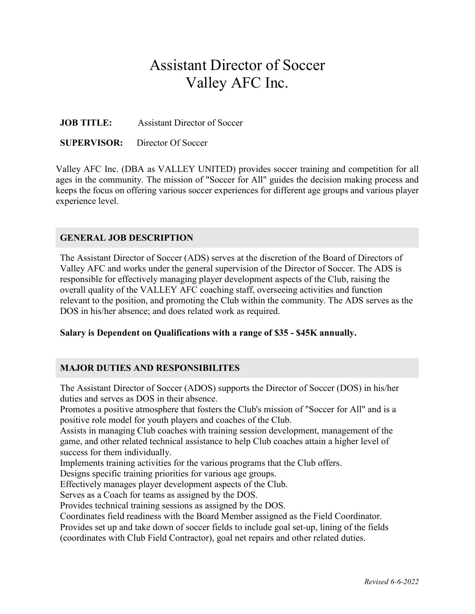# Assistant Director of Soccer Valley AFC Inc.

**JOB TITLE:** Assistant Director of Soccer

**SUPERVISOR:** Director Of Soccer

Valley AFC Inc. (DBA as VALLEY UNITED) provides soccer training and competition for all ages in the community. The mission of "Soccer for All" guides the decision making process and keeps the focus on offering various soccer experiences for different age groups and various player experience level.

#### **GENERAL JOB DESCRIPTION**

The Assistant Director of Soccer (ADS) serves at the discretion of the Board of Directors of Valley AFC and works under the general supervision of the Director of Soccer. The ADS is responsible for effectively managing player development aspects of the Club, raising the overall quality of the VALLEY AFC coaching staff, overseeing activities and function relevant to the position, and promoting the Club within the community. The ADS serves as the DOS in his/her absence; and does related work as required.

#### **Salary is Dependent on Qualifications with a range of \$35 - \$45K annually.**

## **MAJOR DUTIES AND RESPONSIBILITES**

The Assistant Director of Soccer (ADOS) supports the Director of Soccer (DOS) in his/her duties and serves as DOS in their absence.

Promotes a positive atmosphere that fosters the Club's mission of "Soccer for All" and is a positive role model for youth players and coaches of the Club.

Assists in managing Club coaches with training session development, management of the game, and other related technical assistance to help Club coaches attain a higher level of success for them individually.

Implements training activities for the various programs that the Club offers.

Designs specific training priorities for various age groups.

Effectively manages player development aspects of the Club.

Serves as a Coach for teams as assigned by the DOS.

Provides technical training sessions as assigned by the DOS.

Coordinates field readiness with the Board Member assigned as the Field Coordinator.

Provides set up and take down of soccer fields to include goal set-up, lining of the fields

(coordinates with Club Field Contractor), goal net repairs and other related duties.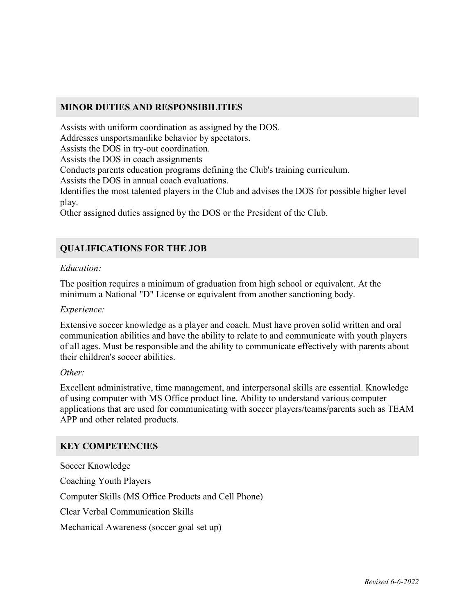### **MINOR DUTIES AND RESPONSIBILITIES**

Assists with uniform coordination as assigned by the DOS.

Addresses unsportsmanlike behavior by spectators.

Assists the DOS in try-out coordination.

Assists the DOS in coach assignments

Conducts parents education programs defining the Club's training curriculum.

Assists the DOS in annual coach evaluations.

Identifies the most talented players in the Club and advises the DOS for possible higher level play.

Other assigned duties assigned by the DOS or the President of the Club.

## **QUALIFICATIONS FOR THE JOB**

#### *Education:*

The position requires a minimum of graduation from high school or equivalent. At the minimum a National "D" License or equivalent from another sanctioning body.

#### *Experience:*

Extensive soccer knowledge as a player and coach. Must have proven solid written and oral communication abilities and have the ability to relate to and communicate with youth players of all ages. Must be responsible and the ability to communicate effectively with parents about their children's soccer abilities.

#### *Other:*

Excellent administrative, time management, and interpersonal skills are essential. Knowledge of using computer with MS Office product line. Ability to understand various computer applications that are used for communicating with soccer players/teams/parents such as TEAM APP and other related products.

## **KEY COMPETENCIES**

Soccer Knowledge Coaching Youth Players Computer Skills (MS Office Products and Cell Phone) Clear Verbal Communication Skills Mechanical Awareness (soccer goal set up)